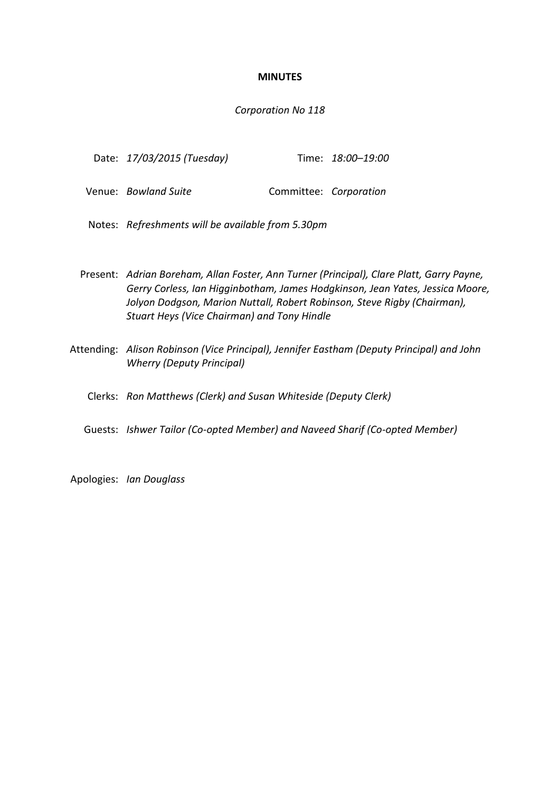## **MINUTES**

#### *Corporation No 118*

| Date: 17/03/2015 (Tuesday) |  |  | Time: 18:00-19:00 |
|----------------------------|--|--|-------------------|
|----------------------------|--|--|-------------------|

- Venue: *Bowland Suite* **Committee:** *Corporation*
- Notes: *Refreshments will be available from 5.30pm*
- Present: *Adrian Boreham, Allan Foster, Ann Turner (Principal), Clare Platt, Garry Payne, Gerry Corless, Ian Higginbotham, James Hodgkinson, Jean Yates, Jessica Moore, Jolyon Dodgson, Marion Nuttall, Robert Robinson, Steve Rigby (Chairman), Stuart Heys (Vice Chairman) and Tony Hindle*
- Attending: *Alison Robinson (Vice Principal), Jennifer Eastham (Deputy Principal) and John Wherry (Deputy Principal)*

Clerks: *Ron Matthews (Clerk) and Susan Whiteside (Deputy Clerk)*

Guests: *Ishwer Tailor (Co-opted Member) and Naveed Sharif (Co-opted Member)*

Apologies: *Ian Douglass*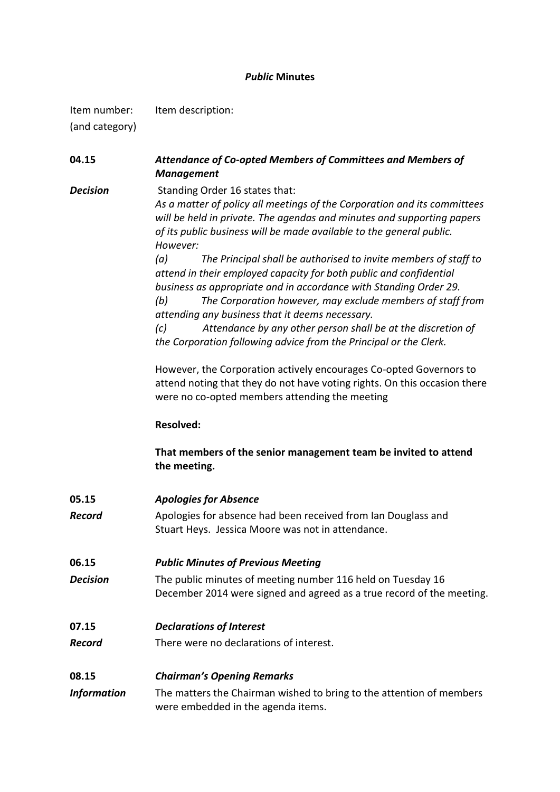## *Public* **Minutes**

Item number: Item description:

(and category)

| 04.15              | Attendance of Co-opted Members of Committees and Members of<br><b>Management</b>                                                                                                                                                                                                                                                                                                                                 |
|--------------------|------------------------------------------------------------------------------------------------------------------------------------------------------------------------------------------------------------------------------------------------------------------------------------------------------------------------------------------------------------------------------------------------------------------|
| <b>Decision</b>    | Standing Order 16 states that:<br>As a matter of policy all meetings of the Corporation and its committees<br>will be held in private. The agendas and minutes and supporting papers<br>of its public business will be made available to the general public.<br>However:                                                                                                                                         |
|                    | The Principal shall be authorised to invite members of staff to<br>(a)<br>attend in their employed capacity for both public and confidential<br>business as appropriate and in accordance with Standing Order 29.<br>The Corporation however, may exclude members of staff from<br>(b)<br>attending any business that it deems necessary.<br>Attendance by any other person shall be at the discretion of<br>(c) |
|                    | the Corporation following advice from the Principal or the Clerk.                                                                                                                                                                                                                                                                                                                                                |
|                    | However, the Corporation actively encourages Co-opted Governors to<br>attend noting that they do not have voting rights. On this occasion there<br>were no co-opted members attending the meeting                                                                                                                                                                                                                |
|                    | <b>Resolved:</b>                                                                                                                                                                                                                                                                                                                                                                                                 |
|                    | That members of the senior management team be invited to attend<br>the meeting.                                                                                                                                                                                                                                                                                                                                  |
| 05.15              | <b>Apologies for Absence</b>                                                                                                                                                                                                                                                                                                                                                                                     |
| <b>Record</b>      | Apologies for absence had been received from Ian Douglass and<br>Stuart Heys. Jessica Moore was not in attendance.                                                                                                                                                                                                                                                                                               |
| 06.15              | <b>Public Minutes of Previous Meeting</b>                                                                                                                                                                                                                                                                                                                                                                        |
| <b>Decision</b>    | The public minutes of meeting number 116 held on Tuesday 16<br>December 2014 were signed and agreed as a true record of the meeting.                                                                                                                                                                                                                                                                             |
| 07.15              | <b>Declarations of Interest</b>                                                                                                                                                                                                                                                                                                                                                                                  |
| <b>Record</b>      | There were no declarations of interest.                                                                                                                                                                                                                                                                                                                                                                          |
| 08.15              | <b>Chairman's Opening Remarks</b>                                                                                                                                                                                                                                                                                                                                                                                |
| <b>Information</b> | The matters the Chairman wished to bring to the attention of members<br>were embedded in the agenda items.                                                                                                                                                                                                                                                                                                       |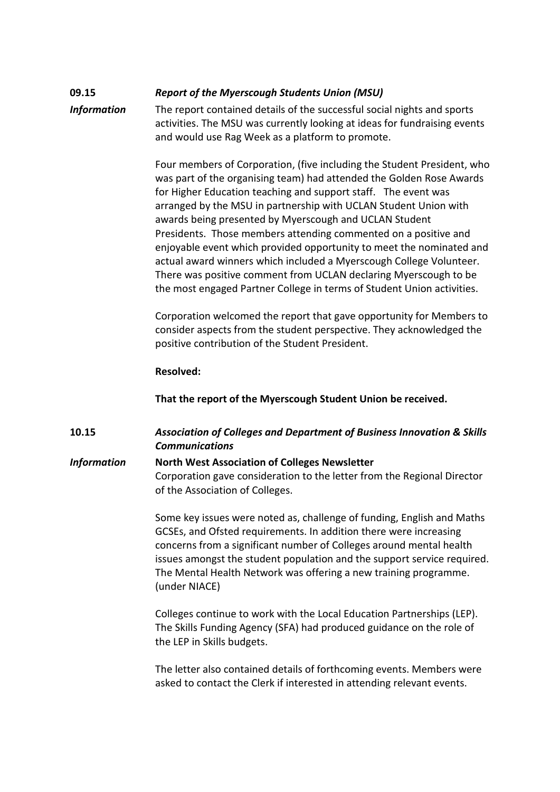# **09.15** *Report of the Myerscough Students Union (MSU)*

*Information* The report contained details of the successful social nights and sports activities. The MSU was currently looking at ideas for fundraising events and would use Rag Week as a platform to promote.

> Four members of Corporation, (five including the Student President, who was part of the organising team) had attended the Golden Rose Awards for Higher Education teaching and support staff. The event was arranged by the MSU in partnership with UCLAN Student Union with awards being presented by Myerscough and UCLAN Student Presidents. Those members attending commented on a positive and enjoyable event which provided opportunity to meet the nominated and actual award winners which included a Myerscough College Volunteer. There was positive comment from UCLAN declaring Myerscough to be the most engaged Partner College in terms of Student Union activities.

> Corporation welcomed the report that gave opportunity for Members to consider aspects from the student perspective. They acknowledged the positive contribution of the Student President.

## **Resolved:**

**That the report of the Myerscough Student Union be received.**

**10.15** *Association of Colleges and Department of Business Innovation & Skills Communications*

*Information* **North West Association of Colleges Newsletter** Corporation gave consideration to the letter from the Regional Director of the Association of Colleges.

> Some key issues were noted as, challenge of funding, English and Maths GCSEs, and Ofsted requirements. In addition there were increasing concerns from a significant number of Colleges around mental health issues amongst the student population and the support service required. The Mental Health Network was offering a new training programme. (under NIACE)

Colleges continue to work with the Local Education Partnerships (LEP). The Skills Funding Agency (SFA) had produced guidance on the role of the LEP in Skills budgets.

The letter also contained details of forthcoming events. Members were asked to contact the Clerk if interested in attending relevant events.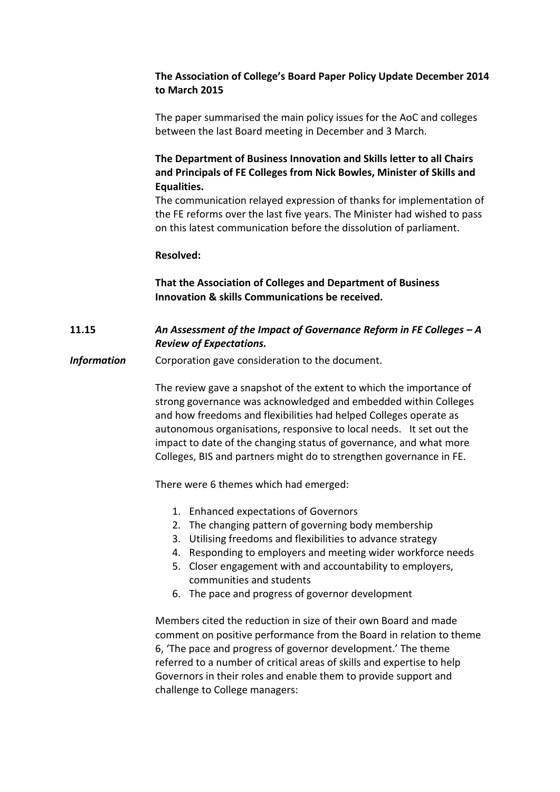# **The Association of College's Board Paper Policy Update December 2014 to March 2015**

The paper summarised the main policy issues for the AoC and colleges between the last Board meeting in December and 3 March.

# **The Department of Business Innovation and Skills letter to all Chairs and Principals of FE Colleges from Nick Bowles, Minister of Skills and Equalities.**

The communication relayed expression of thanks for implementation of the FE reforms over the last five years. The Minister had wished to pass on this latest communication before the dissolution of parliament.

## **Resolved:**

**That the Association of Colleges and Department of Business Innovation & skills Communications be received.**

## **11.15** *An Assessment of the Impact of Governance Reform in FE Colleges – A Review of Expectations.*

**Information** Corporation gave consideration to the document.

The review gave a snapshot of the extent to which the importance of strong governance was acknowledged and embedded within Colleges and how freedoms and flexibilities had helped Colleges operate as autonomous organisations, responsive to local needs. It set out the impact to date of the changing status of governance, and what more Colleges, BIS and partners might do to strengthen governance in FE.

There were 6 themes which had emerged:

- 1. Enhanced expectations of Governors
- 2. The changing pattern of governing body membership
- 3. Utilising freedoms and flexibilities to advance strategy
- 4. Responding to employers and meeting wider workforce needs
- 5. Closer engagement with and accountability to employers, communities and students
- 6. The pace and progress of governor development

Members cited the reduction in size of their own Board and made comment on positive performance from the Board in relation to theme 6, 'The pace and progress of governor development.' The theme referred to a number of critical areas of skills and expertise to help Governors in their roles and enable them to provide support and challenge to College managers: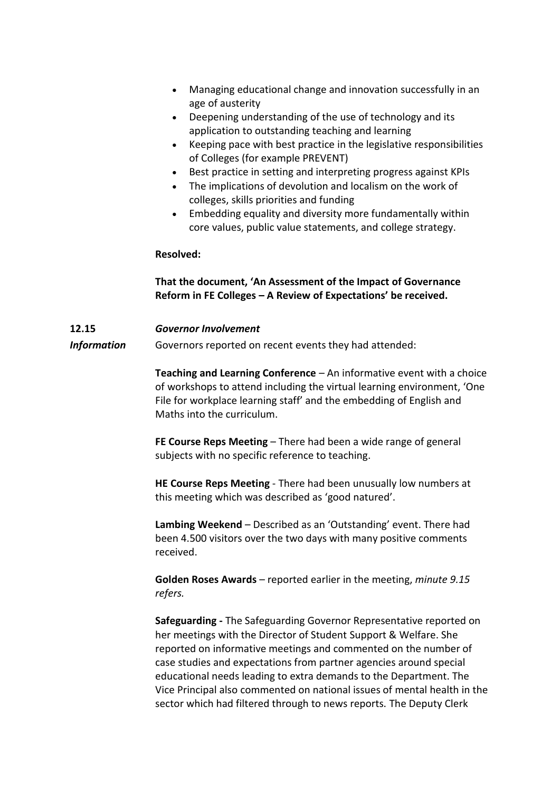- Managing educational change and innovation successfully in an age of austerity
- Deepening understanding of the use of technology and its application to outstanding teaching and learning
- Keeping pace with best practice in the legislative responsibilities of Colleges (for example PREVENT)
- Best practice in setting and interpreting progress against KPIs
- The implications of devolution and localism on the work of colleges, skills priorities and funding
- Embedding equality and diversity more fundamentally within core values, public value statements, and college strategy.

## **Resolved:**

## **That the document, 'An Assessment of the Impact of Governance Reform in FE Colleges – A Review of Expectations' be received.**

# **12.15** *Governor Involvement*

**Information** Governors reported on recent events they had attended:

**Teaching and Learning Conference** – An informative event with a choice of workshops to attend including the virtual learning environment, 'One File for workplace learning staff' and the embedding of English and Maths into the curriculum.

**FE Course Reps Meeting** – There had been a wide range of general subjects with no specific reference to teaching.

**HE Course Reps Meeting** - There had been unusually low numbers at this meeting which was described as 'good natured'.

**Lambing Weekend** – Described as an 'Outstanding' event. There had been 4.500 visitors over the two days with many positive comments received.

**Golden Roses Awards** – reported earlier in the meeting, *minute 9.15 refers.*

**Safeguarding -** The Safeguarding Governor Representative reported on her meetings with the Director of Student Support & Welfare. She reported on informative meetings and commented on the number of case studies and expectations from partner agencies around special educational needs leading to extra demands to the Department. The Vice Principal also commented on national issues of mental health in the sector which had filtered through to news reports. The Deputy Clerk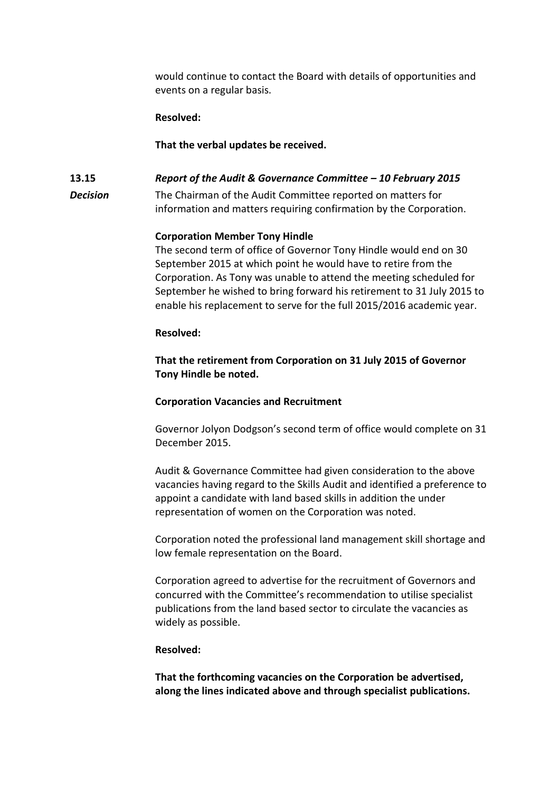would continue to contact the Board with details of opportunities and events on a regular basis.

#### **Resolved:**

#### **That the verbal updates be received.**

## **13.15** *Report of the Audit & Governance Committee – 10 February 2015*

*Decision* The Chairman of the Audit Committee reported on matters for information and matters requiring confirmation by the Corporation.

#### **Corporation Member Tony Hindle**

The second term of office of Governor Tony Hindle would end on 30 September 2015 at which point he would have to retire from the Corporation. As Tony was unable to attend the meeting scheduled for September he wished to bring forward his retirement to 31 July 2015 to enable his replacement to serve for the full 2015/2016 academic year.

#### **Resolved:**

## **That the retirement from Corporation on 31 July 2015 of Governor Tony Hindle be noted.**

#### **Corporation Vacancies and Recruitment**

Governor Jolyon Dodgson's second term of office would complete on 31 December 2015.

Audit & Governance Committee had given consideration to the above vacancies having regard to the Skills Audit and identified a preference to appoint a candidate with land based skills in addition the under representation of women on the Corporation was noted.

Corporation noted the professional land management skill shortage and low female representation on the Board.

Corporation agreed to advertise for the recruitment of Governors and concurred with the Committee's recommendation to utilise specialist publications from the land based sector to circulate the vacancies as widely as possible.

#### **Resolved:**

**That the forthcoming vacancies on the Corporation be advertised, along the lines indicated above and through specialist publications.**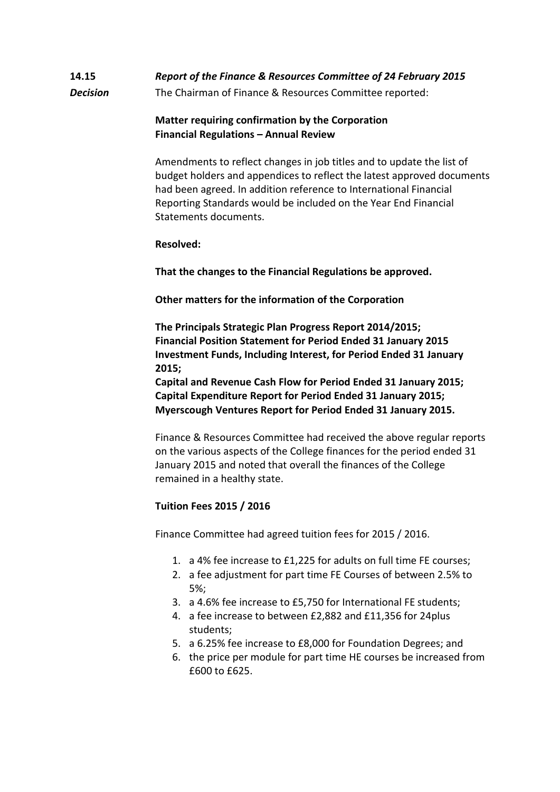# **14.15** *Report of the Finance & Resources Committee of 24 February 2015 Decision* The Chairman of Finance & Resources Committee reported:

## **Matter requiring confirmation by the Corporation Financial Regulations – Annual Review**

Amendments to reflect changes in job titles and to update the list of budget holders and appendices to reflect the latest approved documents had been agreed. In addition reference to International Financial Reporting Standards would be included on the Year End Financial Statements documents.

## **Resolved:**

**That the changes to the Financial Regulations be approved.**

**Other matters for the information of the Corporation**

**The Principals Strategic Plan Progress Report 2014/2015; Financial Position Statement for Period Ended 31 January 2015 Investment Funds, Including Interest, for Period Ended 31 January 2015;**

**Capital and Revenue Cash Flow for Period Ended 31 January 2015; Capital Expenditure Report for Period Ended 31 January 2015; Myerscough Ventures Report for Period Ended 31 January 2015.**

Finance & Resources Committee had received the above regular reports on the various aspects of the College finances for the period ended 31 January 2015 and noted that overall the finances of the College remained in a healthy state.

## **Tuition Fees 2015 / 2016**

Finance Committee had agreed tuition fees for 2015 / 2016.

- 1. a 4% fee increase to £1,225 for adults on full time FE courses;
- 2. a fee adjustment for part time FE Courses of between 2.5% to 5%;
- 3. a 4.6% fee increase to £5,750 for International FE students;
- 4. a fee increase to between £2,882 and £11,356 for 24plus students;
- 5. a 6.25% fee increase to £8,000 for Foundation Degrees; and
- 6. the price per module for part time HE courses be increased from £600 to £625.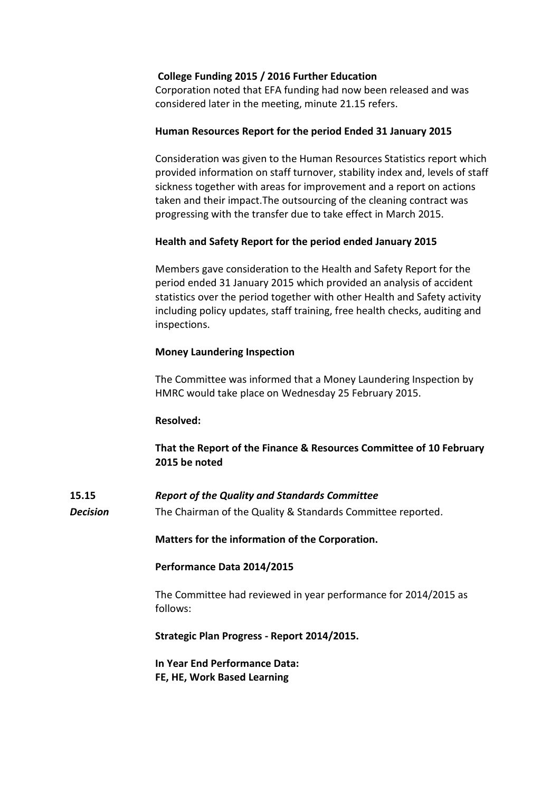## **College Funding 2015 / 2016 Further Education**

Corporation noted that EFA funding had now been released and was considered later in the meeting, minute 21.15 refers.

#### **Human Resources Report for the period Ended 31 January 2015**

Consideration was given to the Human Resources Statistics report which provided information on staff turnover, stability index and, levels of staff sickness together with areas for improvement and a report on actions taken and their impact.The outsourcing of the cleaning contract was progressing with the transfer due to take effect in March 2015.

## **Health and Safety Report for the period ended January 2015**

Members gave consideration to the Health and Safety Report for the period ended 31 January 2015 which provided an analysis of accident statistics over the period together with other Health and Safety activity including policy updates, staff training, free health checks, auditing and inspections.

#### **Money Laundering Inspection**

The Committee was informed that a Money Laundering Inspection by HMRC would take place on Wednesday 25 February 2015.

#### **Resolved:**

**That the Report of the Finance & Resources Committee of 10 February 2015 be noted**

**15.15** *Report of the Quality and Standards Committee*

*Decision* The Chairman of the Quality & Standards Committee reported.

**Matters for the information of the Corporation.**

#### **Performance Data 2014/2015**

The Committee had reviewed in year performance for 2014/2015 as follows:

**Strategic Plan Progress - Report 2014/2015.** 

**In Year End Performance Data: FE, HE, Work Based Learning**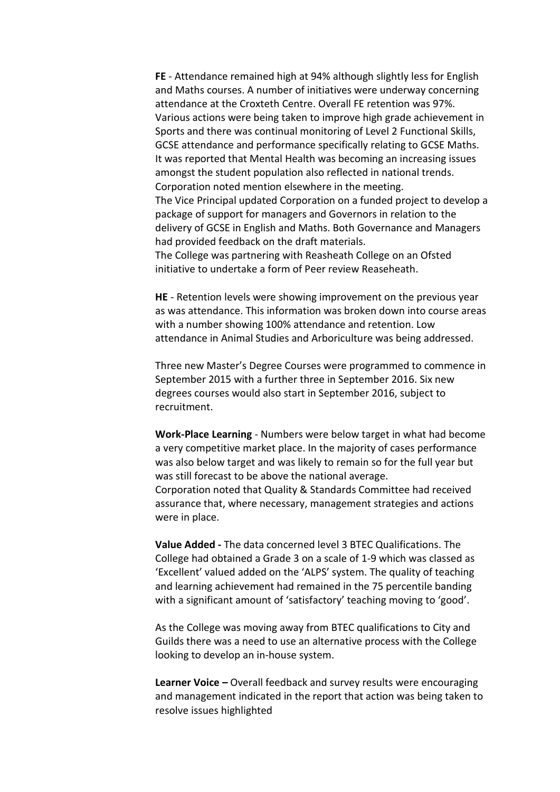**FE** - Attendance remained high at 94% although slightly less for English and Maths courses. A number of initiatives were underway concerning attendance at the Croxteth Centre. Overall FE retention was 97%. Various actions were being taken to improve high grade achievement in Sports and there was continual monitoring of Level 2 Functional Skills, GCSE attendance and performance specifically relating to GCSE Maths. It was reported that Mental Health was becoming an increasing issues amongst the student population also reflected in national trends. Corporation noted mention elsewhere in the meeting. The Vice Principal updated Corporation on a funded project to develop a package of support for managers and Governors in relation to the delivery of GCSE in English and Maths. Both Governance and Managers had provided feedback on the draft materials. The College was partnering with Reasheath College on an Ofsted initiative to undertake a form of Peer review Reaseheath.

**HE** - Retention levels were showing improvement on the previous year as was attendance. This information was broken down into course areas with a number showing 100% attendance and retention. Low attendance in Animal Studies and Arboriculture was being addressed.

Three new Master's Degree Courses were programmed to commence in September 2015 with a further three in September 2016. Six new degrees courses would also start in September 2016, subject to recruitment.

**Work-Place Learning** - Numbers were below target in what had become a very competitive market place. In the majority of cases performance was also below target and was likely to remain so for the full year but was still forecast to be above the national average. Corporation noted that Quality & Standards Committee had received assurance that, where necessary, management strategies and actions were in place.

**Value Added -** The data concerned level 3 BTEC Qualifications. The College had obtained a Grade 3 on a scale of 1-9 which was classed as 'Excellent' valued added on the 'ALPS' system. The quality of teaching and learning achievement had remained in the 75 percentile banding with a significant amount of 'satisfactory' teaching moving to 'good'.

As the College was moving away from BTEC qualifications to City and Guilds there was a need to use an alternative process with the College looking to develop an in-house system.

**Learner Voice –** Overall feedback and survey results were encouraging and management indicated in the report that action was being taken to resolve issues highlighted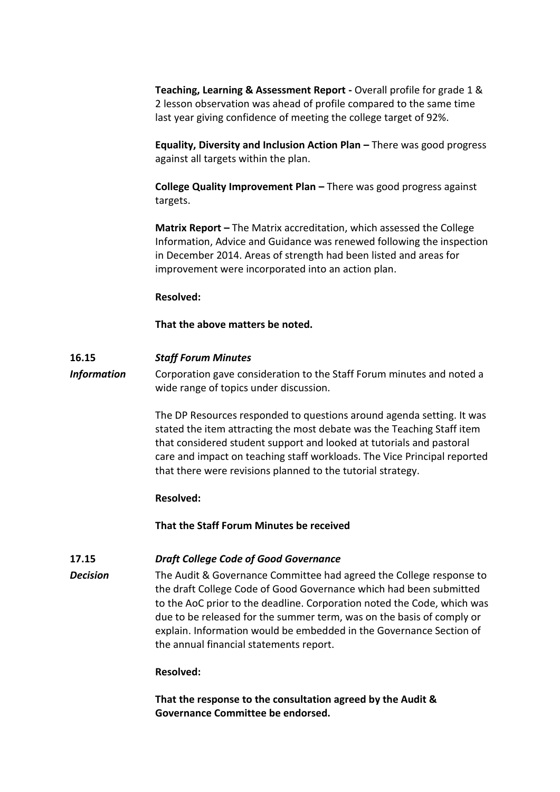**Teaching, Learning & Assessment Report -** Overall profile for grade 1 & 2 lesson observation was ahead of profile compared to the same time last year giving confidence of meeting the college target of 92%.

**Equality, Diversity and Inclusion Action Plan –** There was good progress against all targets within the plan.

**College Quality Improvement Plan –** There was good progress against targets.

**Matrix Report –** The Matrix accreditation, which assessed the College Information, Advice and Guidance was renewed following the inspection in December 2014. Areas of strength had been listed and areas for improvement were incorporated into an action plan.

#### **Resolved:**

## **That the above matters be noted.**

## **16.15** *Staff Forum Minutes*

*Information* Corporation gave consideration to the Staff Forum minutes and noted a wide range of topics under discussion.

> The DP Resources responded to questions around agenda setting. It was stated the item attracting the most debate was the Teaching Staff item that considered student support and looked at tutorials and pastoral care and impact on teaching staff workloads. The Vice Principal reported that there were revisions planned to the tutorial strategy.

#### **Resolved:**

**That the Staff Forum Minutes be received**

## **17.15** *Draft College Code of Good Governance*

**Decision** The Audit & Governance Committee had agreed the College response to the draft College Code of Good Governance which had been submitted to the AoC prior to the deadline. Corporation noted the Code, which was due to be released for the summer term, was on the basis of comply or explain. Information would be embedded in the Governance Section of the annual financial statements report.

## **Resolved:**

**That the response to the consultation agreed by the Audit & Governance Committee be endorsed.**